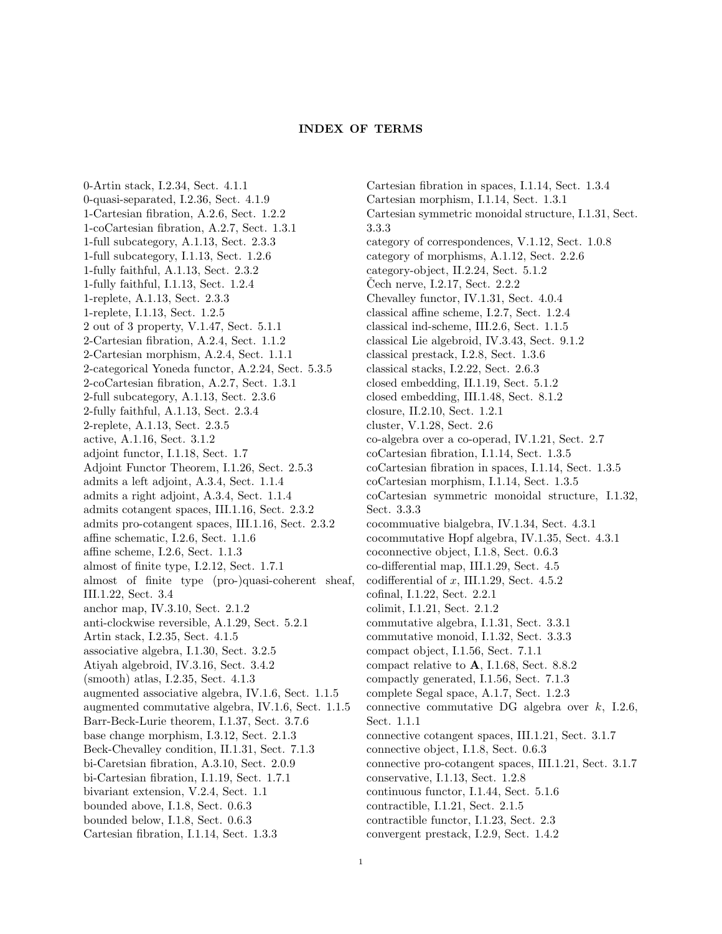## INDEX OF TERMS

0-Artin stack, I.2.34, Sect. 4.1.1 0-quasi-separated, I.2.36, Sect. 4.1.9 1-Cartesian fibration, A.2.6, Sect. 1.2.2 1-coCartesian fibration, A.2.7, Sect. 1.3.1 1-full subcategory, A.1.13, Sect. 2.3.3 1-full subcategory, I.1.13, Sect. 1.2.6 1-fully faithful, A.1.13, Sect. 2.3.2 1-fully faithful, I.1.13, Sect. 1.2.4 1-replete, A.1.13, Sect. 2.3.3 1-replete, I.1.13, Sect. 1.2.5 2 out of 3 property, V.1.47, Sect. 5.1.1 2-Cartesian fibration, A.2.4, Sect. 1.1.2 2-Cartesian morphism, A.2.4, Sect. 1.1.1 2-categorical Yoneda functor, A.2.24, Sect. 5.3.5 2-coCartesian fibration, A.2.7, Sect. 1.3.1 2-full subcategory, A.1.13, Sect. 2.3.6 2-fully faithful, A.1.13, Sect. 2.3.4 2-replete, A.1.13, Sect. 2.3.5 active, A.1.16, Sect. 3.1.2 adjoint functor, I.1.18, Sect. 1.7 Adjoint Functor Theorem, I.1.26, Sect. 2.5.3 admits a left adjoint, A.3.4, Sect. 1.1.4 admits a right adjoint, A.3.4, Sect. 1.1.4 admits cotangent spaces, III.1.16, Sect. 2.3.2 admits pro-cotangent spaces, III.1.16, Sect. 2.3.2 affine schematic, I.2.6, Sect. 1.1.6 affine scheme, I.2.6, Sect. 1.1.3 almost of finite type, I.2.12, Sect. 1.7.1 almost of finite type (pro-)quasi-coherent sheaf, III.1.22, Sect. 3.4 anchor map, IV.3.10, Sect. 2.1.2 anti-clockwise reversible, A.1.29, Sect. 5.2.1 Artin stack, I.2.35, Sect. 4.1.5 associative algebra, I.1.30, Sect. 3.2.5 Atiyah algebroid, IV.3.16, Sect. 3.4.2 (smooth) atlas, I.2.35, Sect. 4.1.3 augmented associative algebra, IV.1.6, Sect. 1.1.5 augmented commutative algebra, IV.1.6, Sect. 1.1.5 Barr-Beck-Lurie theorem, I.1.37, Sect. 3.7.6 base change morphism, I.3.12, Sect. 2.1.3 Beck-Chevalley condition, II.1.31, Sect. 7.1.3 bi-Caretsian fibration, A.3.10, Sect. 2.0.9 bi-Cartesian fibration, I.1.19, Sect. 1.7.1 bivariant extension, V.2.4, Sect. 1.1 bounded above, I.1.8, Sect. 0.6.3 bounded below, I.1.8, Sect. 0.6.3 Cartesian fibration, I.1.14, Sect. 1.3.3

Cartesian fibration in spaces, I.1.14, Sect. 1.3.4 Cartesian morphism, I.1.14, Sect. 1.3.1 Cartesian symmetric monoidal structure, I.1.31, Sect. 3.3.3 category of correspondences, V.1.12, Sect. 1.0.8 category of morphisms, A.1.12, Sect. 2.2.6 category-object, II.2.24, Sect. 5.1.2 Cech nerve, I.2.17, Sect.  $2.2.2$ Chevalley functor, IV.1.31, Sect. 4.0.4 classical affine scheme, I.2.7, Sect. 1.2.4 classical ind-scheme, III.2.6, Sect. 1.1.5 classical Lie algebroid, IV.3.43, Sect. 9.1.2 classical prestack, I.2.8, Sect. 1.3.6 classical stacks, I.2.22, Sect. 2.6.3 closed embedding, II.1.19, Sect. 5.1.2 closed embedding, III.1.48, Sect. 8.1.2 closure, II.2.10, Sect. 1.2.1 cluster, V.1.28, Sect. 2.6 co-algebra over a co-operad, IV.1.21, Sect. 2.7 coCartesian fibration, I.1.14, Sect. 1.3.5 coCartesian fibration in spaces, I.1.14, Sect. 1.3.5 coCartesian morphism, I.1.14, Sect. 1.3.5 coCartesian symmetric monoidal structure, I.1.32, Sect. 3.3.3 cocommuative bialgebra, IV.1.34, Sect. 4.3.1 cocommutative Hopf algebra, IV.1.35, Sect. 4.3.1 coconnective object, I.1.8, Sect. 0.6.3 co-differential map, III.1.29, Sect. 4.5 codifferential of  $x$ , III.1.29, Sect. 4.5.2 cofinal, I.1.22, Sect. 2.2.1 colimit, I.1.21, Sect. 2.1.2 commutative algebra, I.1.31, Sect. 3.3.1 commutative monoid, I.1.32, Sect. 3.3.3 compact object, I.1.56, Sect. 7.1.1 compact relative to A, I.1.68, Sect. 8.8.2 compactly generated, I.1.56, Sect. 7.1.3 complete Segal space, A.1.7, Sect. 1.2.3 connective commutative DG algebra over  $k$ , I.2.6, Sect. 1.1.1 connective cotangent spaces, III.1.21, Sect. 3.1.7 connective object, I.1.8, Sect. 0.6.3 connective pro-cotangent spaces, III.1.21, Sect. 3.1.7 conservative, I.1.13, Sect. 1.2.8 continuous functor, I.1.44, Sect. 5.1.6 contractible, I.1.21, Sect. 2.1.5 contractible functor, I.1.23, Sect. 2.3

convergent prestack, I.2.9, Sect. 1.4.2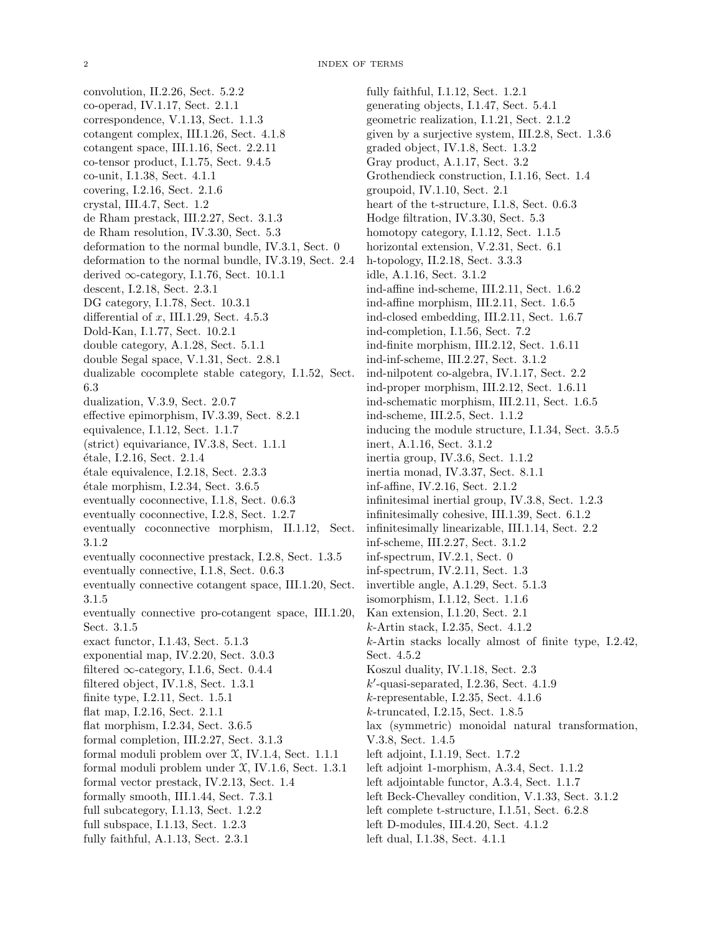convolution, II.2.26, Sect. 5.2.2 co-operad, IV.1.17, Sect. 2.1.1 correspondence, V.1.13, Sect. 1.1.3 cotangent complex, III.1.26, Sect. 4.1.8 cotangent space, III.1.16, Sect. 2.2.11 co-tensor product, I.1.75, Sect. 9.4.5 co-unit, I.1.38, Sect. 4.1.1 covering, I.2.16, Sect. 2.1.6 crystal, III.4.7, Sect. 1.2 de Rham prestack, III.2.27, Sect. 3.1.3 de Rham resolution, IV.3.30, Sect. 5.3 deformation to the normal bundle, IV.3.1, Sect. 0 deformation to the normal bundle, IV.3.19, Sect. 2.4 derived  $\infty$ -category, I.1.76, Sect. 10.1.1 descent, I.2.18, Sect. 2.3.1 DG category, I.1.78, Sect. 10.3.1 differential of  $x$ , III.1.29, Sect. 4.5.3 Dold-Kan, I.1.77, Sect. 10.2.1 double category, A.1.28, Sect. 5.1.1 double Segal space, V.1.31, Sect. 2.8.1 dualizable cocomplete stable category, I.1.52, Sect. 6.3 dualization, V.3.9, Sect. 2.0.7 effective epimorphism, IV.3.39, Sect. 8.2.1 equivalence, I.1.12, Sect. 1.1.7 (strict) equivariance, IV.3.8, Sect. 1.1.1 ´etale, I.2.16, Sect. 2.1.4 ´etale equivalence, I.2.18, Sect. 2.3.3  $étele morphism, I.2.34, Sect. 3.6.5$ eventually coconnective, I.1.8, Sect. 0.6.3 eventually coconnective, I.2.8, Sect. 1.2.7 eventually coconnective morphism, II.1.12, Sect. 3.1.2 eventually coconnective prestack, I.2.8, Sect. 1.3.5 eventually connective, I.1.8, Sect. 0.6.3 eventually connective cotangent space, III.1.20, Sect. 3.1.5 eventually connective pro-cotangent space, III.1.20, Sect. 3.1.5 exact functor, I.1.43, Sect. 5.1.3 exponential map, IV.2.20, Sect. 3.0.3 filtered  $\infty$ -category, I.1.6, Sect. 0.4.4 filtered object, IV.1.8, Sect. 1.3.1 finite type, I.2.11, Sect. 1.5.1 flat map, I.2.16, Sect. 2.1.1 flat morphism, I.2.34, Sect. 3.6.5 formal completion, III.2.27, Sect. 3.1.3 formal moduli problem over  $X$ , IV.1.4, Sect. 1.1.1 formal moduli problem under X, IV.1.6, Sect. 1.3.1 formal vector prestack, IV.2.13, Sect. 1.4 formally smooth, III.1.44, Sect. 7.3.1 full subcategory, I.1.13, Sect. 1.2.2 full subspace, I.1.13, Sect. 1.2.3 fully faithful, A.1.13, Sect. 2.3.1

fully faithful, I.1.12, Sect. 1.2.1 generating objects, I.1.47, Sect. 5.4.1 geometric realization, I.1.21, Sect. 2.1.2 given by a surjective system, III.2.8, Sect. 1.3.6 graded object, IV.1.8, Sect. 1.3.2 Gray product, A.1.17, Sect. 3.2 Grothendieck construction, I.1.16, Sect. 1.4 groupoid, IV.1.10, Sect. 2.1 heart of the t-structure, I.1.8, Sect. 0.6.3 Hodge filtration, IV.3.30, Sect. 5.3 homotopy category, I.1.12, Sect. 1.1.5 horizontal extension, V.2.31, Sect. 6.1 h-topology, II.2.18, Sect. 3.3.3 idle, A.1.16, Sect. 3.1.2 ind-affine ind-scheme, III.2.11, Sect. 1.6.2 ind-affine morphism, III.2.11, Sect. 1.6.5 ind-closed embedding, III.2.11, Sect. 1.6.7 ind-completion, I.1.56, Sect. 7.2 ind-finite morphism, III.2.12, Sect. 1.6.11 ind-inf-scheme, III.2.27, Sect. 3.1.2 ind-nilpotent co-algebra, IV.1.17, Sect. 2.2 ind-proper morphism, III.2.12, Sect. 1.6.11 ind-schematic morphism, III.2.11, Sect. 1.6.5 ind-scheme, III.2.5, Sect. 1.1.2 inducing the module structure, I.1.34, Sect. 3.5.5 inert, A.1.16, Sect. 3.1.2 inertia group, IV.3.6, Sect. 1.1.2 inertia monad, IV.3.37, Sect. 8.1.1 inf-affine, IV.2.16, Sect. 2.1.2 infinitesimal inertial group, IV.3.8, Sect. 1.2.3 infinitesimally cohesive, III.1.39, Sect. 6.1.2 infinitesimally linearizable, III.1.14, Sect. 2.2 inf-scheme, III.2.27, Sect. 3.1.2 inf-spectrum, IV.2.1, Sect. 0 inf-spectrum, IV.2.11, Sect. 1.3 invertible angle, A.1.29, Sect. 5.1.3 isomorphism, I.1.12, Sect. 1.1.6 Kan extension, I.1.20, Sect. 2.1 k-Artin stack, I.2.35, Sect. 4.1.2 k-Artin stacks locally almost of finite type, I.2.42, Sect. 4.5.2 Koszul duality, IV.1.18, Sect. 2.3  $k'$ -quasi-separated, I.2.36, Sect. 4.1.9 k-representable, I.2.35, Sect. 4.1.6 k-truncated, I.2.15, Sect. 1.8.5 lax (symmetric) monoidal natural transformation, V.3.8, Sect. 1.4.5 left adjoint, I.1.19, Sect. 1.7.2 left adjoint 1-morphism, A.3.4, Sect. 1.1.2 left adjointable functor, A.3.4, Sect. 1.1.7 left Beck-Chevalley condition, V.1.33, Sect. 3.1.2 left complete t-structure, I.1.51, Sect. 6.2.8 left D-modules, III.4.20, Sect. 4.1.2

left dual, I.1.38, Sect. 4.1.1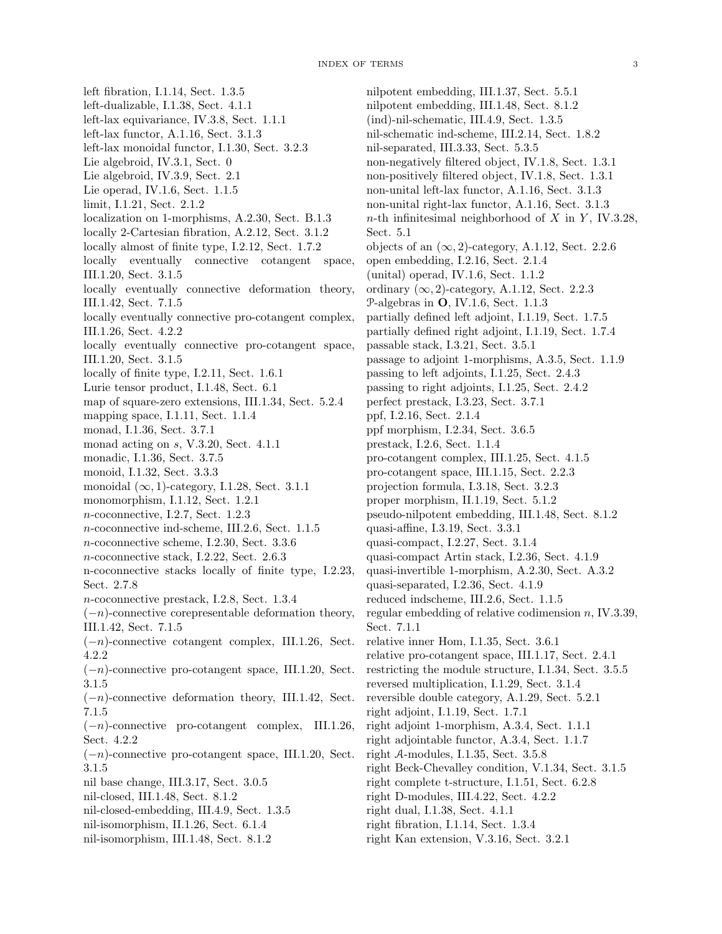left fibration, I.1.14, Sect. 1.3.5 left-dualizable, I.1.38, Sect. 4.1.1 left-lax equivariance, IV.3.8, Sect. 1.1.1 left-lax functor, A.1.16, Sect. 3.1.3 left-lax monoidal functor, I.1.30, Sect. 3.2.3 Lie algebroid, IV.3.1, Sect. 0 Lie algebroid, IV.3.9, Sect. 2.1 Lie operad, IV.1.6, Sect. 1.1.5 limit, I.1.21, Sect. 2.1.2 localization on 1-morphisms, A.2.30, Sect. B.1.3 locally 2-Cartesian fibration, A.2.12, Sect. 3.1.2 locally almost of finite type, I.2.12, Sect. 1.7.2 locally eventually connective cotangent space, III.1.20, Sect. 3.1.5 locally eventually connective deformation theory, III.1.42, Sect. 7.1.5 locally eventually connective pro-cotangent complex, III.1.26, Sect. 4.2.2 locally eventually connective pro-cotangent space, III.1.20, Sect. 3.1.5 locally of finite type, I.2.11, Sect. 1.6.1 Lurie tensor product, I.1.48, Sect. 6.1 map of square-zero extensions, III.1.34, Sect. 5.2.4 mapping space, I.1.11, Sect. 1.1.4 monad, I.1.36, Sect. 3.7.1 monad acting on s, V.3.20, Sect. 4.1.1 monadic, I.1.36, Sect. 3.7.5 monoid, I.1.32, Sect. 3.3.3 monoidal  $(\infty, 1)$ -category, I.1.28, Sect. 3.1.1 monomorphism, I.1.12, Sect. 1.2.1 n-coconnective, I.2.7, Sect. 1.2.3 n-coconnective ind-scheme, III.2.6, Sect. 1.1.5 n-coconnective scheme, I.2.30, Sect. 3.3.6 n-coconnective stack, I.2.22, Sect. 2.6.3 n-coconnective stacks locally of finite type, I.2.23, Sect. 2.7.8 n-coconnective prestack, I.2.8, Sect. 1.3.4  $(-n)$ -connective corepresentable deformation theory, III.1.42, Sect. 7.1.5 (−n)-connective cotangent complex, III.1.26, Sect. 4.2.2  $(-n)$ -connective pro-cotangent space, III.1.20, Sect. 3.1.5  $(-n)$ -connective deformation theory, III.1.42, Sect. 7.1.5 (−n)-connective pro-cotangent complex, III.1.26, Sect. 4.2.2  $(-n)$ -connective pro-cotangent space, III.1.20, Sect. 3.1.5 nil base change, III.3.17, Sect. 3.0.5 nil-closed, III.1.48, Sect. 8.1.2 nil-closed-embedding, III.4.9, Sect. 1.3.5 nil-isomorphism, II.1.26, Sect. 6.1.4 nil-isomorphism, III.1.48, Sect. 8.1.2

nilpotent embedding, III.1.37, Sect. 5.5.1 nilpotent embedding, III.1.48, Sect. 8.1.2 (ind)-nil-schematic, III.4.9, Sect. 1.3.5 nil-schematic ind-scheme, III.2.14, Sect. 1.8.2 nil-separated, III.3.33, Sect. 5.3.5 non-negatively filtered object, IV.1.8, Sect. 1.3.1 non-positively filtered object, IV.1.8, Sect. 1.3.1 non-unital left-lax functor, A.1.16, Sect. 3.1.3 non-unital right-lax functor, A.1.16, Sect. 3.1.3 n-th infinitesimal neighborhood of  $X$  in  $Y$ , IV.3.28, Sect. 5.1 objects of an  $(\infty, 2)$ -category, A.1.12, Sect. 2.2.6 open embedding, I.2.16, Sect. 2.1.4 (unital) operad, IV.1.6, Sect. 1.1.2 ordinary  $(\infty, 2)$ -category, A.1.12, Sect. 2.2.3 P-algebras in O, IV.1.6, Sect. 1.1.3 partially defined left adjoint, I.1.19, Sect. 1.7.5 partially defined right adjoint, I.1.19, Sect. 1.7.4 passable stack, I.3.21, Sect. 3.5.1 passage to adjoint 1-morphisms, A.3.5, Sect. 1.1.9 passing to left adjoints, I.1.25, Sect. 2.4.3 passing to right adjoints, I.1.25, Sect. 2.4.2 perfect prestack, I.3.23, Sect. 3.7.1 ppf, I.2.16, Sect. 2.1.4 ppf morphism, I.2.34, Sect. 3.6.5 prestack, I.2.6, Sect. 1.1.4 pro-cotangent complex, III.1.25, Sect. 4.1.5 pro-cotangent space, III.1.15, Sect. 2.2.3 projection formula, I.3.18, Sect. 3.2.3 proper morphism, II.1.19, Sect. 5.1.2 pseudo-nilpotent embedding, III.1.48, Sect. 8.1.2 quasi-affine, I.3.19, Sect. 3.3.1 quasi-compact, I.2.27, Sect. 3.1.4 quasi-compact Artin stack, I.2.36, Sect. 4.1.9 quasi-invertible 1-morphism, A.2.30, Sect. A.3.2 quasi-separated, I.2.36, Sect. 4.1.9 reduced indscheme, III.2.6, Sect. 1.1.5 regular embedding of relative codimension n, IV.3.39, Sect. 7.1.1 relative inner Hom, I.1.35, Sect. 3.6.1 relative pro-cotangent space, III.1.17, Sect. 2.4.1 restricting the module structure, I.1.34, Sect. 3.5.5 reversed multiplication, I.1.29, Sect. 3.1.4 reversible double category, A.1.29, Sect. 5.2.1 right adjoint, I.1.19, Sect. 1.7.1 right adjoint 1-morphism, A.3.4, Sect. 1.1.1 right adjointable functor, A.3.4, Sect. 1.1.7 right A-modules, I.1.35, Sect. 3.5.8 right Beck-Chevalley condition, V.1.34, Sect. 3.1.5 right complete t-structure, I.1.51, Sect. 6.2.8 right D-modules, III.4.22, Sect. 4.2.2 right dual, I.1.38, Sect. 4.1.1 right fibration, I.1.14, Sect. 1.3.4 right Kan extension, V.3.16, Sect. 3.2.1